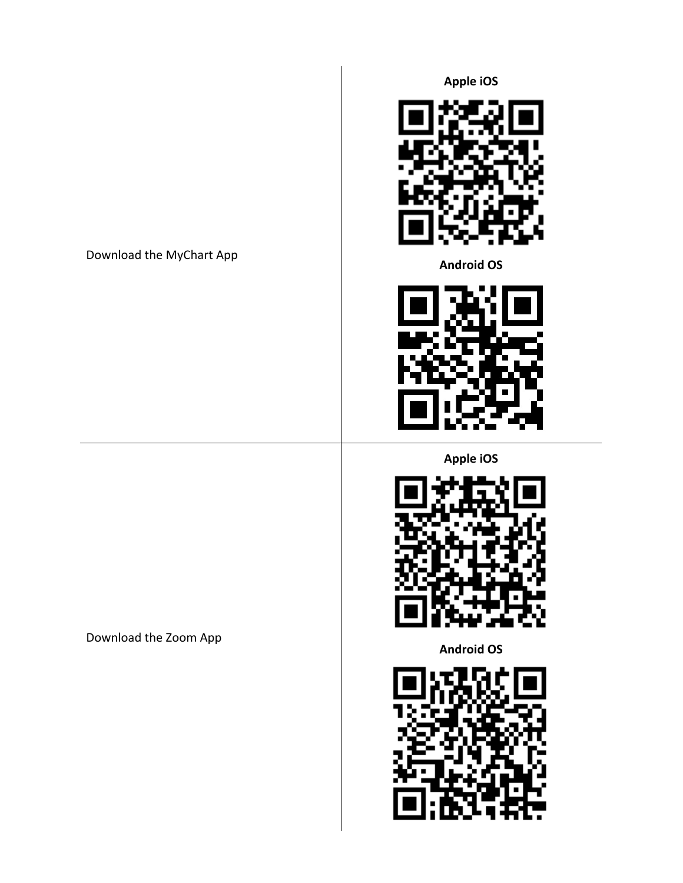## Download the MyChart App

**Apple iOS**



**Android OS**



**Apple iOS**



**Android OS**



Download the Zoom App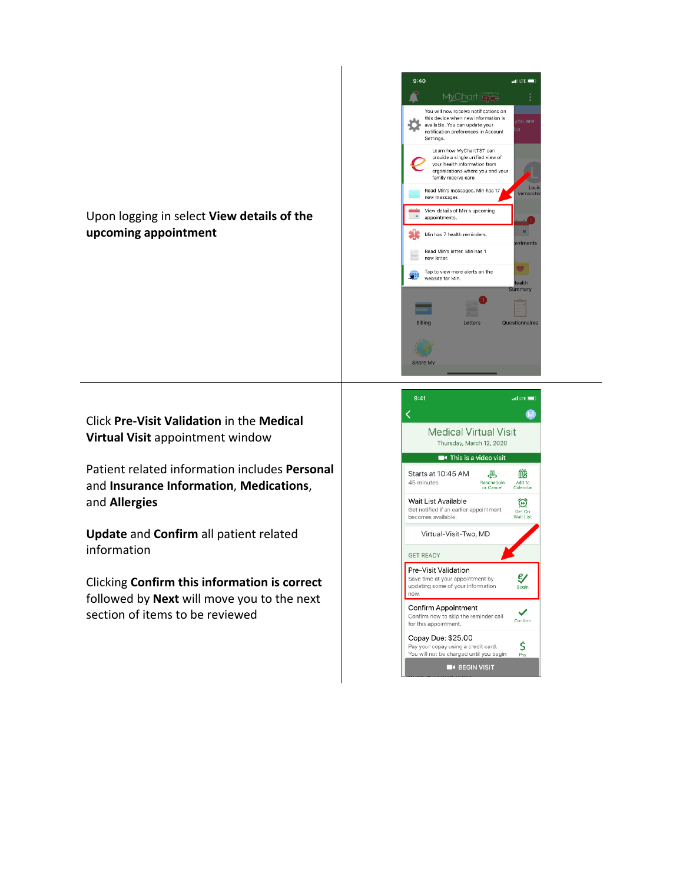

Click **Pre-Visit Validation** in the **Medical Virtual Visit** appointment window

Patient related information includes **Personal**  and **Insurance Information**, **Medications**, and **Allergies** 

**Update** and **Confirm** all patient related information

Clicking **Confirm this information is correct**  followed by **Next** will move you to the next section of items to be reviewed



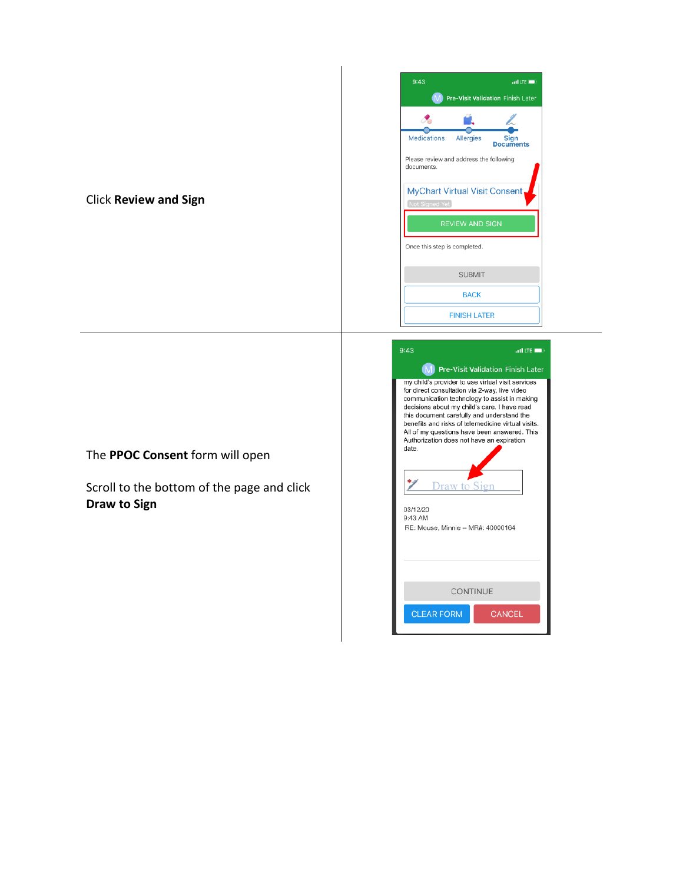| 9:43<br>$all$ LTE $\Box$                               |
|--------------------------------------------------------|
| <b>Pre-Visit Validation Finish Later</b><br>M          |
|                                                        |
| Medications Allergies<br>Sign<br><b>Documents</b>      |
| Please review and address the following<br>documents.  |
| <b>MyChart Virtual Visit Consent</b><br>Not Signed Yet |
| <b>REVIEW AND SIGN</b>                                 |
| Once this step is completed.                           |
| <b>SUBMIT</b>                                          |
| <b>BACK</b>                                            |
| <b>FINISH LATER</b>                                    |

Click **Review and Sign** 

The **PPOC Consent** form will open

Scroll to the bottom of the page and click **Draw to Sign** 

| 9:43<br>$\text{all}$ LTE $\blacksquare$                                                                                                                                                                                                                                                                                                                                                                                                                                                          |
|--------------------------------------------------------------------------------------------------------------------------------------------------------------------------------------------------------------------------------------------------------------------------------------------------------------------------------------------------------------------------------------------------------------------------------------------------------------------------------------------------|
| (M) Pre-Visit Validation Finish Later                                                                                                                                                                                                                                                                                                                                                                                                                                                            |
| my child's provider to use virtual visit services<br>for direct consultation via 2-way, live video<br>communication technology to assist in making<br>decisions about my child's care. I have read<br>this document carefully and understand the<br>benefits and risks of telemedicine virtual visits.<br>All of my questions have been answered. This<br>Authorization does not have an expiration<br>date.<br><b>Draw to Sign</b><br>03/12/20<br>9:43 AM<br>RE: Mouse, Minnie -- MR#: 40000164 |
| CONTINUE                                                                                                                                                                                                                                                                                                                                                                                                                                                                                         |
|                                                                                                                                                                                                                                                                                                                                                                                                                                                                                                  |
| <b>CLEAR FORM</b><br><b>CANCEL</b>                                                                                                                                                                                                                                                                                                                                                                                                                                                               |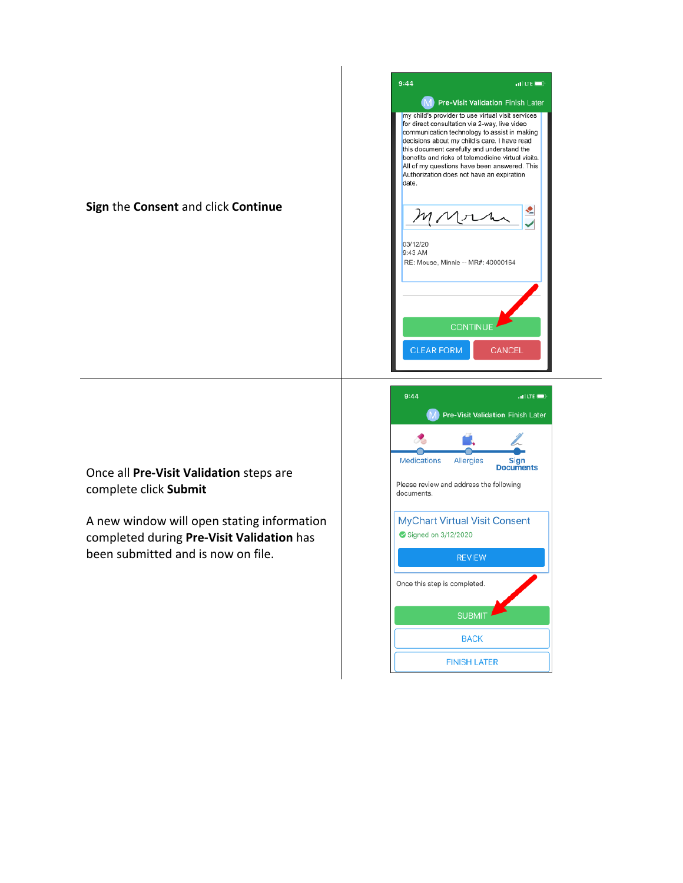## **Sign** the **Consent** and click **Continue**



Once all **Pre-Visit Validation** steps are complete click **Submit** 

A new window will open stating information completed during **Pre-Visit Validation** has been submitted and is now on file.